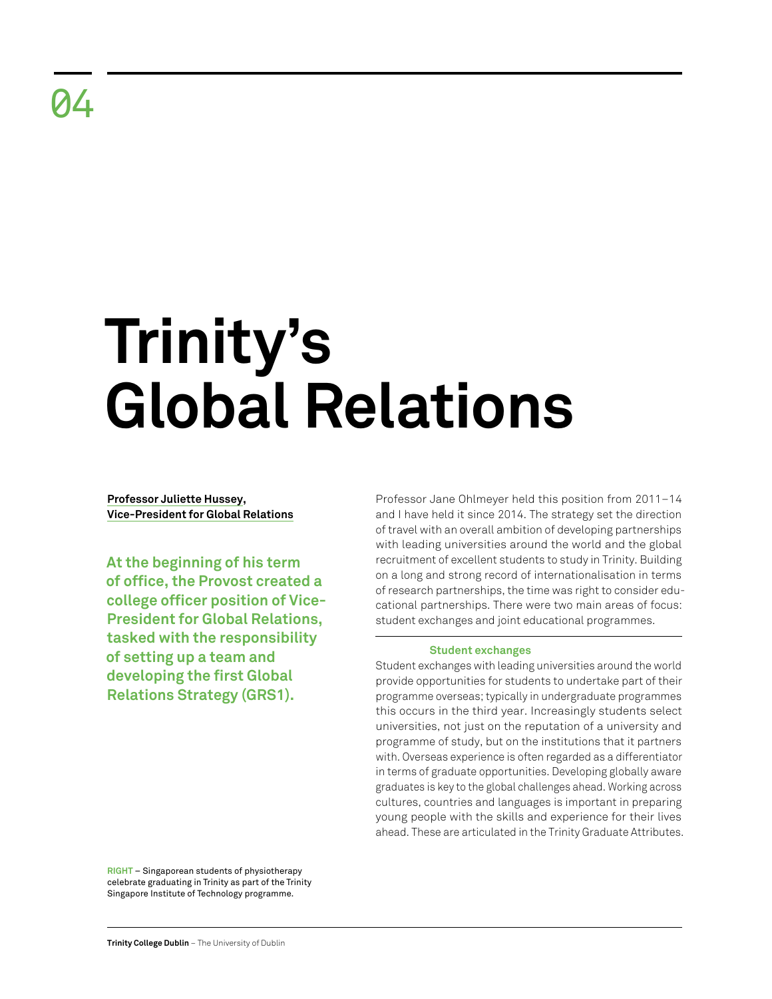# **Trinity's Global Relations**

**Professor Juliette Hussey, Vice-President for Global Relations**

**At the beginning of his term of office, the Provost created a college officer position of Vice-President for Global Relations, tasked with the responsibility of setting up a team and developing the first Global Relations Strategy (GRS1).** 

Professor Jane Ohlmeyer held this position from 2011–14 and I have held it since 2014. The strategy set the direction of travel with an overall ambition of developing partnerships with leading universities around the world and the global recruitment of excellent students to study in Trinity. Building on a long and strong record of internationalisation in terms of research partnerships, the time was right to consider educational partnerships. There were two main areas of focus: student exchanges and joint educational programmes.

# **Student exchanges**

Student exchanges with leading universities around the world provide opportunities for students to undertake part of their programme overseas; typically in undergraduate programmes this occurs in the third year. Increasingly students select universities, not just on the reputation of a university and programme of study, but on the institutions that it partners with. Overseas experience is often regarded as a differentiator in terms of graduate opportunities. Developing globally aware graduates is key to the global challenges ahead. Working across cultures, countries and languages is important in preparing young people with the skills and experience for their lives ahead. These are articulated in the Trinity Graduate Attributes.

**RIGHT** – Singaporean students of physiotherapy celebrate graduating in Trinity as part of the Trinity Singapore Institute of Technology programme.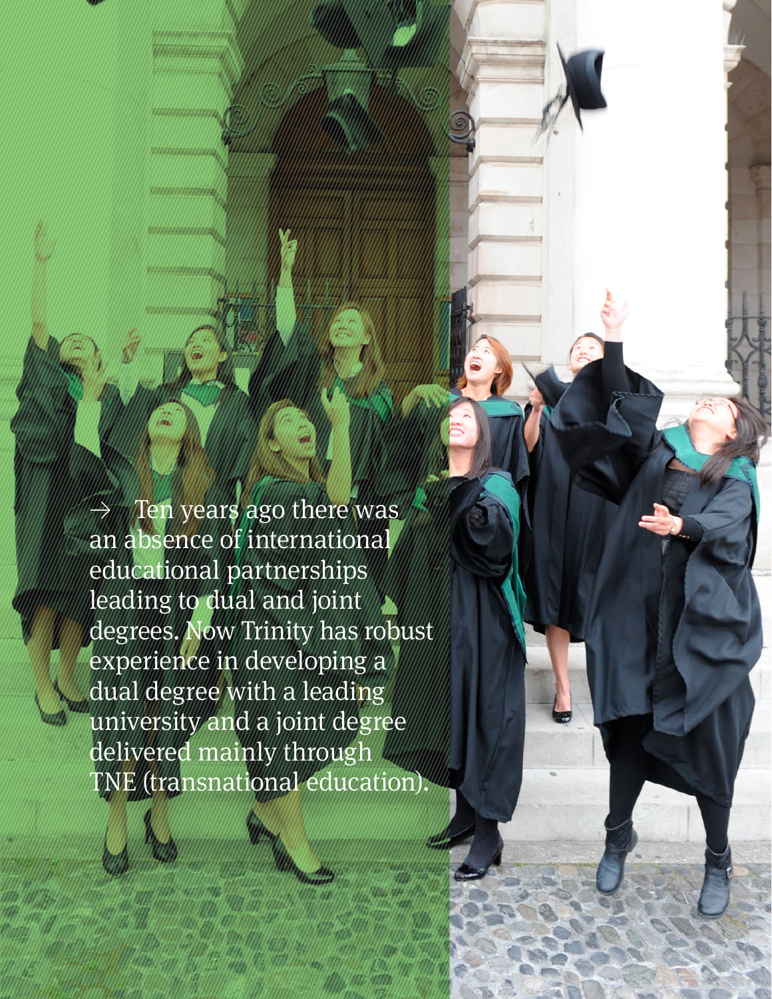Ten years ago there was an absence of international educational partnerships leading to dual and joint degrees. Now Trinity has robust experience in developing a dual degree with a leading university and a joint degree delivered mainly through TNE (transnational education).

**Retrospective Review** 2011–21 18 | 19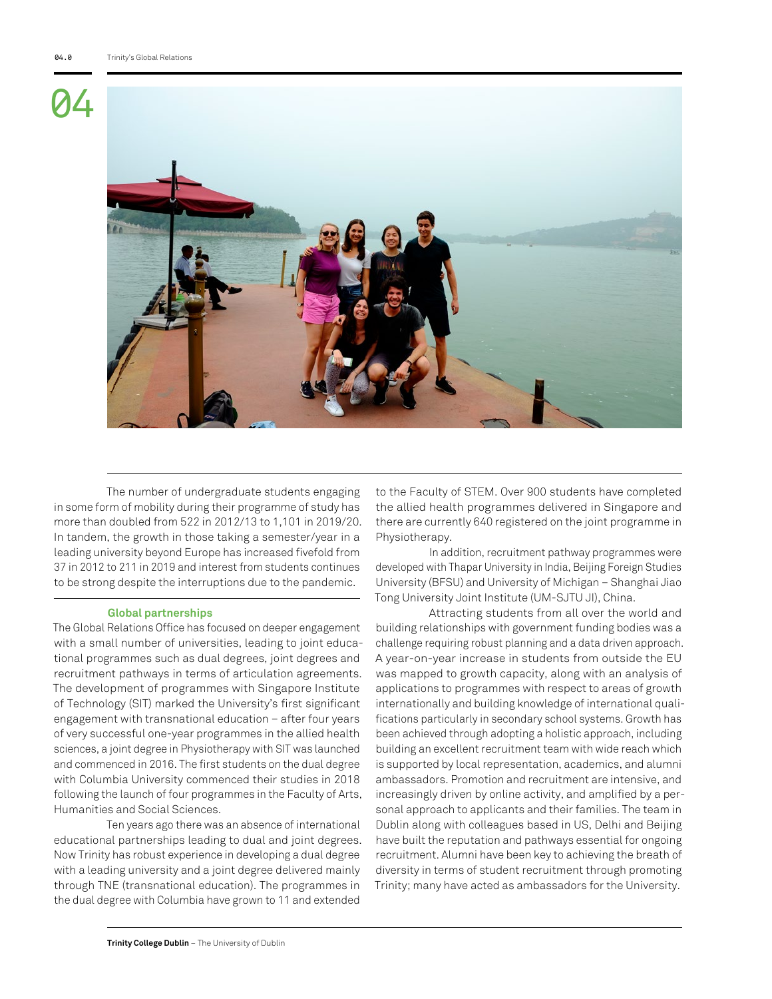

The number of undergraduate students engaging in some form of mobility during their programme of study has more than doubled from 522 in 2012/13 to 1,101 in 2019/20. In tandem, the growth in those taking a semester/year in a leading university beyond Europe has increased fivefold from 37 in 2012 to 211 in 2019 and interest from students continues to be strong despite the interruptions due to the pandemic.

#### **Global partnerships**

The Global Relations Office has focused on deeper engagement with a small number of universities, leading to joint educational programmes such as dual degrees, joint degrees and recruitment pathways in terms of articulation agreements. The development of programmes with Singapore Institute of Technology (SIT) marked the University's first significant engagement with transnational education – after four years of very successful one-year programmes in the allied health sciences, a joint degree in Physiotherapy with SIT was launched and commenced in 2016. The first students on the dual degree with Columbia University commenced their studies in 2018 following the launch of four programmes in the Faculty of Arts, Humanities and Social Sciences.

Ten years ago there was an absence of international educational partnerships leading to dual and joint degrees. Now Trinity has robust experience in developing a dual degree with a leading university and a joint degree delivered mainly through TNE (transnational education). The programmes in the dual degree with Columbia have grown to 11 and extended

to the Faculty of STEM. Over 900 students have completed the allied health programmes delivered in Singapore and there are currently 640 registered on the joint programme in Physiotherapy.

In addition, recruitment pathway programmes were developed with Thapar University in India, Beijing Foreign Studies University (BFSU) and University of Michigan – Shanghai Jiao Tong University Joint Institute (UM-SJTU JI), China.

Attracting students from all over the world and building relationships with government funding bodies was a challenge requiring robust planning and a data driven approach. A year-on-year increase in students from outside the EU was mapped to growth capacity, along with an analysis of applications to programmes with respect to areas of growth internationally and building knowledge of international qualifications particularly in secondary school systems. Growth has been achieved through adopting a holistic approach, including building an excellent recruitment team with wide reach which is supported by local representation, academics, and alumni ambassadors. Promotion and recruitment are intensive, and increasingly driven by online activity, and amplified by a personal approach to applicants and their families. The team in Dublin along with colleagues based in US, Delhi and Beijing have built the reputation and pathways essential for ongoing recruitment. Alumni have been key to achieving the breath of diversity in terms of student recruitment through promoting Trinity; many have acted as ambassadors for the University.